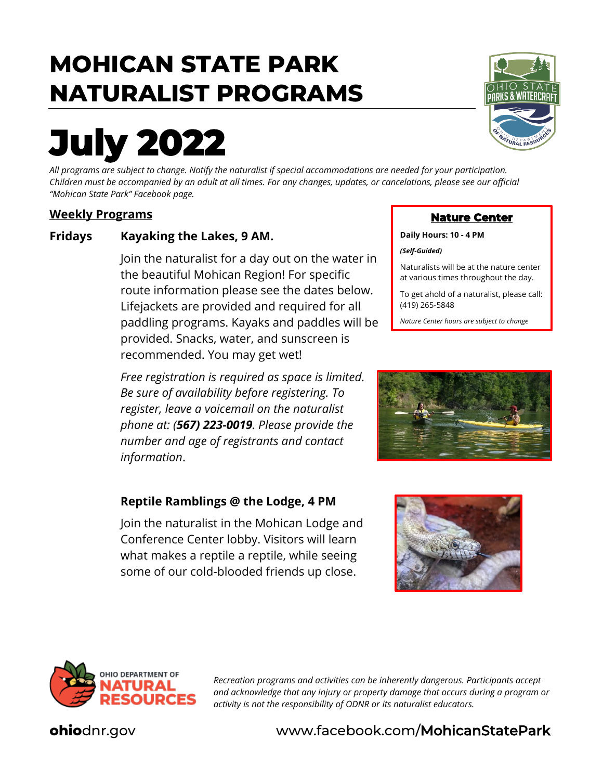## **MOHICAN STATE PARK NATURALIST PROGRAMS**

# **July 2022**

*All programs are subject to change. Notify the naturalist if special accommodations are needed for your participation. Children must be accompanied by an adult at all times. For any changes, updates, or cancelations, please see our official "Mohican State Park" Facebook page.*

#### **Weekly Programs**

#### **Fridays Kayaking the Lakes, 9 AM.**

Join the naturalist for a day out on the water in the beautiful Mohican Region! For specific route information please see the dates below. Lifejackets are provided and required for all paddling programs. Kayaks and paddles will be provided. Snacks, water, and sunscreen is recommended. You may get wet!

*Free registration is required as space is limited. Be sure of availability before registering. To register, leave a voicemail on the naturalist phone at: (567) 223-0019. Please provide the number and age of registrants and contact information*.

#### **Reptile Ramblings @ the Lodge, 4 PM**

Join the naturalist in the Mohican Lodge and Conference Center lobby. Visitors will learn what makes a reptile a reptile, while seeing some of our cold-blooded friends up close.



#### **Nature Center**

**Daily Hours: 10 - 4 PM**

*(Self-Guided)* 

Naturalists will be at the nature center at various times throughout the day.

To get ahold of a naturalist, please call: (419) 265-5848

*Nature Center hours are subject to change*







*Recreation programs and activities can be inherently dangerous. Participants accept and acknowledge that any injury or property damage that occurs during a program or activity is not the responsibility of ODNR or its naturalist educators.*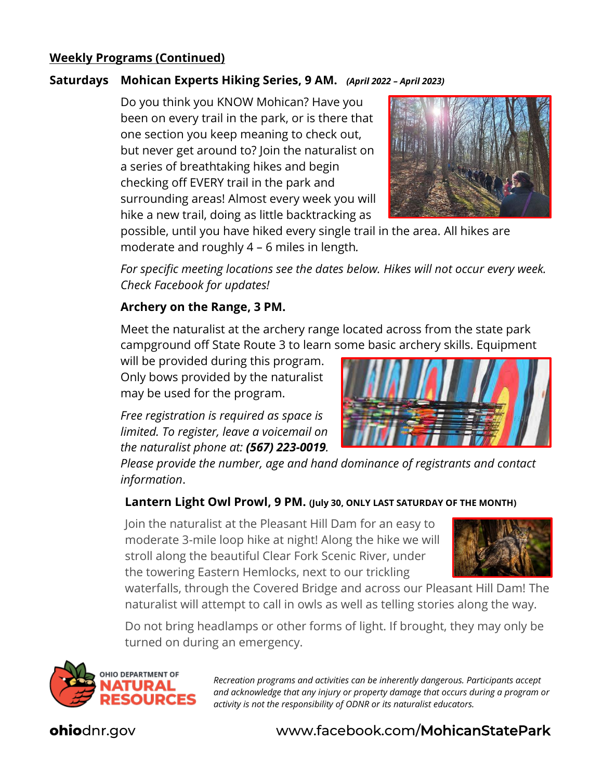#### **Weekly Programs (Continued)**

#### **Saturdays Mohican Experts Hiking Series, 9 AM.** *(April 2022 – April 2023)*

Do you think you KNOW Mohican? Have you been on every trail in the park, or is there that one section you keep meaning to check out, but never get around to? Join the naturalist on a series of breathtaking hikes and begin checking off EVERY trail in the park and surrounding areas! Almost every week you will hike a new trail, doing as little backtracking as



possible, until you have hiked every single trail in the area. All hikes are moderate and roughly 4 – 6 miles in length*.* 

*For specific meeting locations see the dates below. Hikes will not occur every week. Check Facebook for updates!*

#### **Archery on the Range, 3 PM.**

Meet the naturalist at the archery range located across from the state park campground off State Route 3 to learn some basic archery skills. Equipment

will be provided during this program. Only bows provided by the naturalist may be used for the program.

*Free registration is required as space is limited. To register, leave a voicemail on the naturalist phone at: (567) 223-0019.* 



*Please provide the number, age and hand dominance of registrants and contact information*.

#### **Lantern Light Owl Prowl, 9 PM. (July 30, ONLY LAST SATURDAY OF THE MONTH)**

Join the naturalist at the Pleasant Hill Dam for an easy to moderate 3-mile loop hike at night! Along the hike we will stroll along the beautiful Clear Fork Scenic River, under the towering Eastern Hemlocks, next to our trickling



waterfalls, through the Covered Bridge and across our Pleasant Hill Dam! The naturalist will attempt to call in owls as well as telling stories along the way.

Do not bring headlamps or other forms of light. If brought, they may only be turned on during an emergency.



*Recreation programs and activities can be inherently dangerous. Participants accept and acknowledge that any injury or property damage that occurs during a program or activity is not the responsibility of ODNR or its naturalist educators.*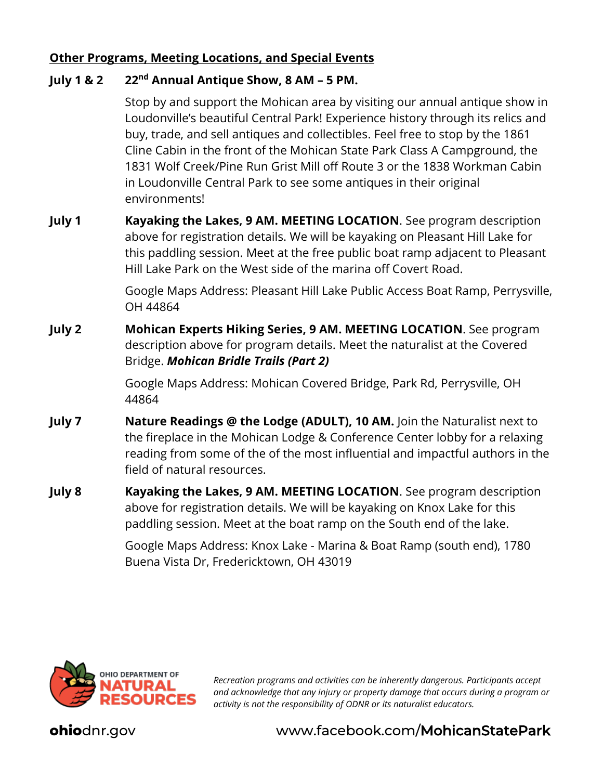#### **Other Programs, Meeting Locations, and Special Events**

#### **July 1 & 2 22nd Annual Antique Show, 8 AM – 5 PM.**

Stop by and support the Mohican area by visiting our annual antique show in Loudonville's beautiful Central Park! Experience history through its relics and buy, trade, and sell antiques and collectibles. Feel free to stop by the 1861 Cline Cabin in the front of the Mohican State Park Class A Campground, the 1831 Wolf Creek/Pine Run Grist Mill off Route 3 or the 1838 Workman Cabin in Loudonville Central Park to see some antiques in their original environments!

**July 1 Kayaking the Lakes, 9 AM. MEETING LOCATION**. See program description above for registration details. We will be kayaking on Pleasant Hill Lake for this paddling session. Meet at the free public boat ramp adjacent to Pleasant Hill Lake Park on the West side of the marina off Covert Road.

> Google Maps Address: Pleasant Hill Lake Public Access Boat Ramp, Perrysville, OH 44864

**July 2 Mohican Experts Hiking Series, 9 AM. MEETING LOCATION**. See program description above for program details. Meet the naturalist at the Covered Bridge. *Mohican Bridle Trails (Part 2)*

> Google Maps Address: Mohican Covered Bridge, Park Rd, Perrysville, OH 44864

- **July 7 Nature Readings @ the Lodge (ADULT), 10 AM.** Join the Naturalist next to the fireplace in the Mohican Lodge & Conference Center lobby for a relaxing reading from some of the of the most influential and impactful authors in the field of natural resources.
- **July 8 Kayaking the Lakes, 9 AM. MEETING LOCATION**. See program description above for registration details. We will be kayaking on Knox Lake for this paddling session. Meet at the boat ramp on the South end of the lake.

Google Maps Address: Knox Lake - Marina & Boat Ramp (south end), 1780 Buena Vista Dr, Fredericktown, OH 43019



*Recreation programs and activities can be inherently dangerous. Participants accept and acknowledge that any injury or property damage that occurs during a program or activity is not the responsibility of ODNR or its naturalist educators.*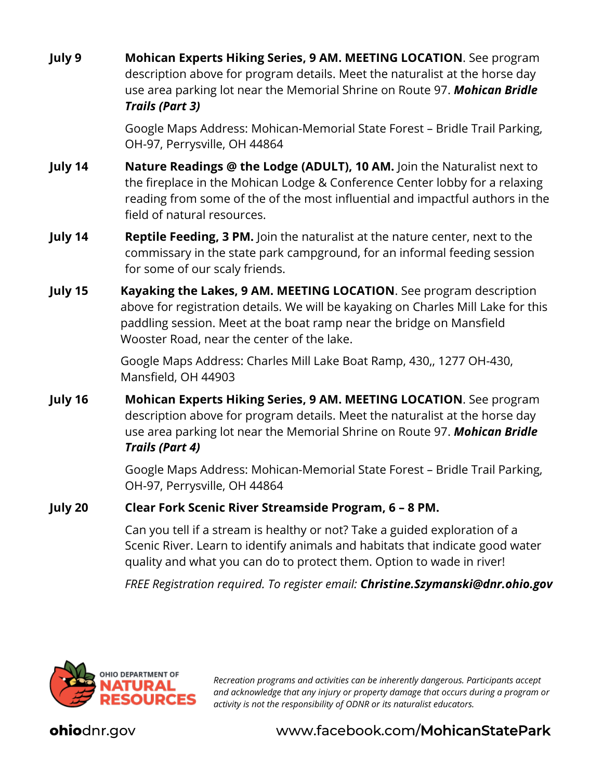**July 9 Mohican Experts Hiking Series, 9 AM. MEETING LOCATION**. See program description above for program details. Meet the naturalist at the horse day use area parking lot near the Memorial Shrine on Route 97. *Mohican Bridle Trails (Part 3)*

> Google Maps Address: Mohican-Memorial State Forest – Bridle Trail Parking, OH-97, Perrysville, OH 44864

- **July 14 Nature Readings @ the Lodge (ADULT), 10 AM.** Join the Naturalist next to the fireplace in the Mohican Lodge & Conference Center lobby for a relaxing reading from some of the of the most influential and impactful authors in the field of natural resources.
- **July 14 Reptile Feeding, 3 PM.** Join the naturalist at the nature center, next to the commissary in the state park campground, for an informal feeding session for some of our scaly friends.
- **July 15 Kayaking the Lakes, 9 AM. MEETING LOCATION**. See program description above for registration details. We will be kayaking on Charles Mill Lake for this paddling session. Meet at the boat ramp near the bridge on Mansfield Wooster Road, near the center of the lake.

Google Maps Address: Charles Mill Lake Boat Ramp, 430,, 1277 OH-430, Mansfield, OH 44903

**July 16 Mohican Experts Hiking Series, 9 AM. MEETING LOCATION**. See program description above for program details. Meet the naturalist at the horse day use area parking lot near the Memorial Shrine on Route 97. *Mohican Bridle Trails (Part 4)*

> Google Maps Address: Mohican-Memorial State Forest – Bridle Trail Parking, OH-97, Perrysville, OH 44864

#### **July 20 Clear Fork Scenic River Streamside Program, 6 – 8 PM.**

Can you tell if a stream is healthy or not? Take a guided exploration of a Scenic River. Learn to identify animals and habitats that indicate good water quality and what you can do to protect them. Option to wade in river!

*FREE Registration required. To register email: Christine.Szymanski@dnr.ohio.gov*



*Recreation programs and activities can be inherently dangerous. Participants accept and acknowledge that any injury or property damage that occurs during a program or activity is not the responsibility of ODNR or its naturalist educators.*